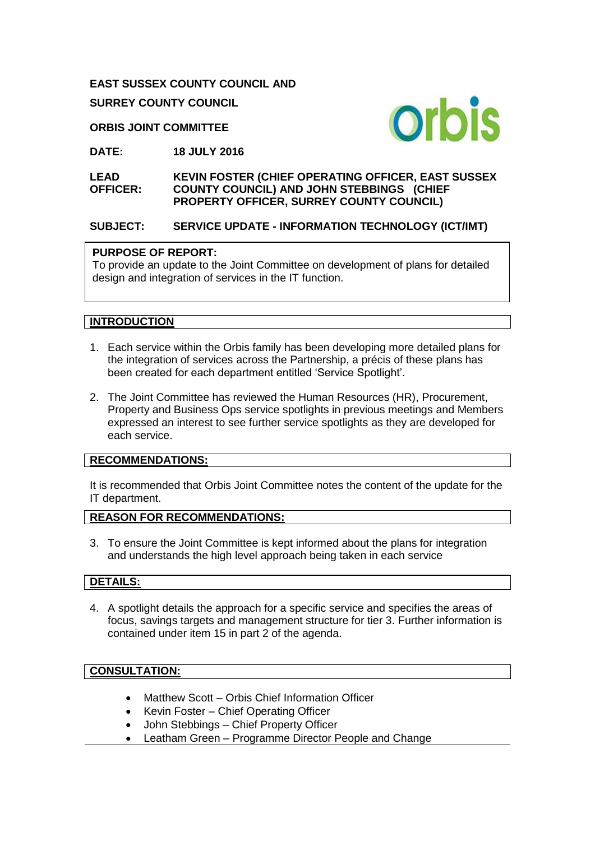**EAST SUSSEX COUNTY COUNCIL AND**

**SURREY COUNTY COUNCIL**

**ORBIS JOINT COMMITTEE**



**DATE: 18 JULY 2016**

**LEAD OFFICER: KEVIN FOSTER (CHIEF OPERATING OFFICER, EAST SUSSEX COUNTY COUNCIL) AND JOHN STEBBINGS (CHIEF PROPERTY OFFICER, SURREY COUNTY COUNCIL)** 

# **SUBJECT: SERVICE UPDATE - INFORMATION TECHNOLOGY (ICT/IMT)**

#### **PURPOSE OF REPORT:**

To provide an update to the Joint Committee on development of plans for detailed design and integration of services in the IT function.

## **INTRODUCTION**

- 1. Each service within the Orbis family has been developing more detailed plans for the integration of services across the Partnership, a précis of these plans has been created for each department entitled 'Service Spotlight'.
- 2. The Joint Committee has reviewed the Human Resources (HR), Procurement, Property and Business Ops service spotlights in previous meetings and Members expressed an interest to see further service spotlights as they are developed for each service.

## **RECOMMENDATIONS:**

It is recommended that Orbis Joint Committee notes the content of the update for the IT department.

## **REASON FOR RECOMMENDATIONS:**

3. To ensure the Joint Committee is kept informed about the plans for integration and understands the high level approach being taken in each service

## **DETAILS:**

4. A spotlight details the approach for a specific service and specifies the areas of focus, savings targets and management structure for tier 3. Further information is contained under item 15 in part 2 of the agenda.

## **CONSULTATION:**

- Matthew Scott Orbis Chief Information Officer
- Kevin Foster Chief Operating Officer
- John Stebbings Chief Property Officer
- Leatham Green Programme Director People and Change